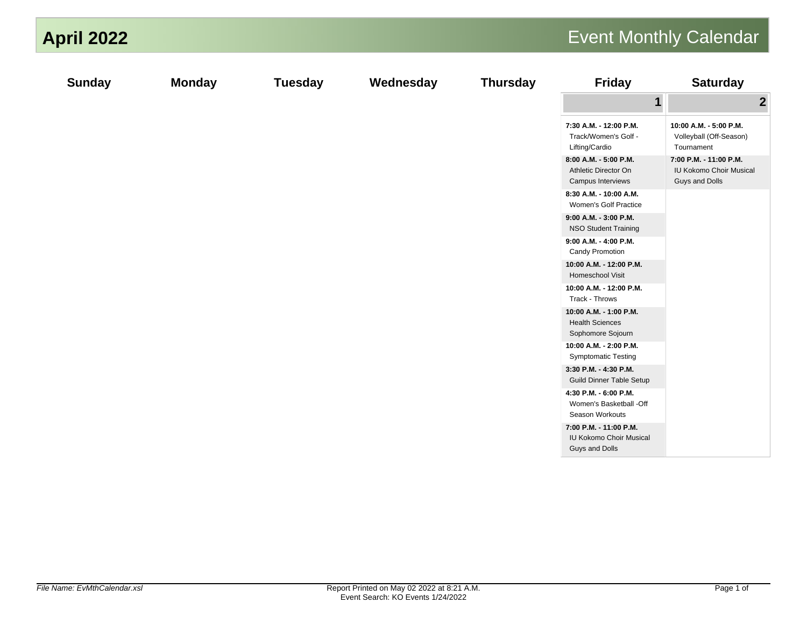| <b>April 2022</b> |               |                |           |                 |                                                                     | <b>Event Monthly Calendar</b>                                       |
|-------------------|---------------|----------------|-----------|-----------------|---------------------------------------------------------------------|---------------------------------------------------------------------|
| <b>Sunday</b>     | <b>Monday</b> | <b>Tuesday</b> | Wednesday | <b>Thursday</b> | <b>Friday</b>                                                       | <b>Saturday</b>                                                     |
|                   |               |                |           |                 | $\mathbf 1$                                                         | $\boldsymbol{2}$                                                    |
|                   |               |                |           |                 | 7:30 A.M. - 12:00 P.M.<br>Track/Women's Golf -<br>Lifting/Cardio    | 10:00 A.M. - 5:00 P.M.<br>Volleyball (Off-Season)<br>Tournament     |
|                   |               |                |           |                 | 8:00 A.M. - 5:00 P.M.<br>Athletic Director On<br>Campus Interviews  | 7:00 P.M. - 11:00 P.M.<br>IU Kokomo Choir Musical<br>Guys and Dolls |
|                   |               |                |           |                 | 8:30 A.M. - 10:00 A.M.<br>Women's Golf Practice                     |                                                                     |
|                   |               |                |           |                 | 9:00 A.M. - 3:00 P.M.<br><b>NSO Student Training</b>                |                                                                     |
|                   |               |                |           |                 | 9:00 A.M. - 4:00 P.M.<br>Candy Promotion                            |                                                                     |
|                   |               |                |           |                 | 10:00 A.M. - 12:00 P.M.<br>Homeschool Visit                         |                                                                     |
|                   |               |                |           |                 | 10:00 A.M. - 12:00 P.M.<br>Track - Throws                           |                                                                     |
|                   |               |                |           |                 | 10:00 A.M. - 1:00 P.M.<br><b>Health Sciences</b>                    |                                                                     |
|                   |               |                |           |                 | Sophomore Sojourn                                                   |                                                                     |
|                   |               |                |           |                 | 10:00 A.M. - 2:00 P.M.<br><b>Symptomatic Testing</b>                |                                                                     |
|                   |               |                |           |                 | 3:30 P.M. - 4:30 P.M.                                               |                                                                     |
|                   |               |                |           |                 | Guild Dinner Table Setup<br>4:30 P.M. - 6:00 P.M.                   |                                                                     |
|                   |               |                |           |                 | Women's Basketball -Off<br>Season Workouts                          |                                                                     |
|                   |               |                |           |                 | 7:00 P.M. - 11:00 P.M.<br>IU Kokomo Choir Musical<br>Guys and Dolls |                                                                     |
|                   |               |                |           |                 |                                                                     |                                                                     |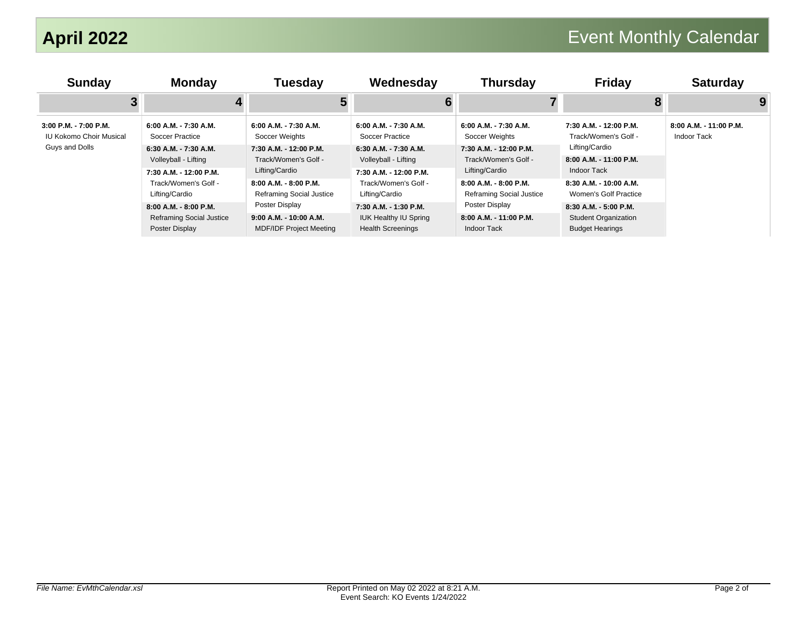| <b>Sunday</b>                                                             | <b>Monday</b>                                                              | Tuesday                                                                    | Wednesday                                                                         | <b>Thursday</b>                                                  | <b>Friday</b>                                                                  | <b>Saturday</b>                              |
|---------------------------------------------------------------------------|----------------------------------------------------------------------------|----------------------------------------------------------------------------|-----------------------------------------------------------------------------------|------------------------------------------------------------------|--------------------------------------------------------------------------------|----------------------------------------------|
|                                                                           |                                                                            |                                                                            | 6                                                                                 |                                                                  |                                                                                | 9                                            |
| 3:00 P.M. - 7:00 P.M.<br><b>IU Kokomo Choir Musical</b><br>Guys and Dolls | 6:00 A.M. - 7:30 A.M.<br>Soccer Practice                                   | $6:00$ A.M. - 7:30 A.M.<br>Soccer Weights                                  | $6:00$ A.M. - 7:30 A.M.<br>Soccer Practice                                        | $6:00$ A.M. - 7:30 A.M.<br>Soccer Weights                        | 7:30 A.M. - 12:00 P.M.<br>Track/Women's Golf -                                 | 8:00 A.M. - 11:00 P.M.<br><b>Indoor Tack</b> |
|                                                                           | 6:30 A.M. - 7:30 A.M.<br>Volleyball - Lifting<br>7:30 A.M. - 12:00 P.M.    | 7:30 A.M. - 12:00 P.M.<br>Track/Women's Golf -<br>Lifting/Cardio           | 6:30 A.M. - 7:30 A.M.<br>Volleyball - Lifting<br>7:30 A.M. - 12:00 P.M.           | 7:30 A.M. - 12:00 P.M.<br>Track/Women's Golf -<br>Lifting/Cardio | Lifting/Cardio<br>8:00 A.M. - 11:00 P.M.<br>Indoor Tack                        |                                              |
|                                                                           | Track/Women's Golf -<br>Lifting/Cardio                                     | 8:00 A.M. - 8:00 P.M.<br>Reframing Social Justice                          | Track/Women's Golf -<br>Lifting/Cardio                                            | 8:00 A.M. - 8:00 P.M.<br>Reframing Social Justice                | 8:30 A.M. - 10:00 A.M.<br>Women's Golf Practice                                |                                              |
|                                                                           | 8:00 A.M. - 8:00 P.M.<br><b>Reframing Social Justice</b><br>Poster Display | Poster Display<br>9:00 A.M. - 10:00 A.M.<br><b>MDF/IDF Project Meeting</b> | 7:30 A.M. - 1:30 P.M.<br><b>IUK Healthy IU Spring</b><br><b>Health Screenings</b> | Poster Display<br>8:00 A.M. - 11:00 P.M.<br><b>Indoor Tack</b>   | 8:30 A.M. - 5:00 P.M.<br><b>Student Organization</b><br><b>Budget Hearings</b> |                                              |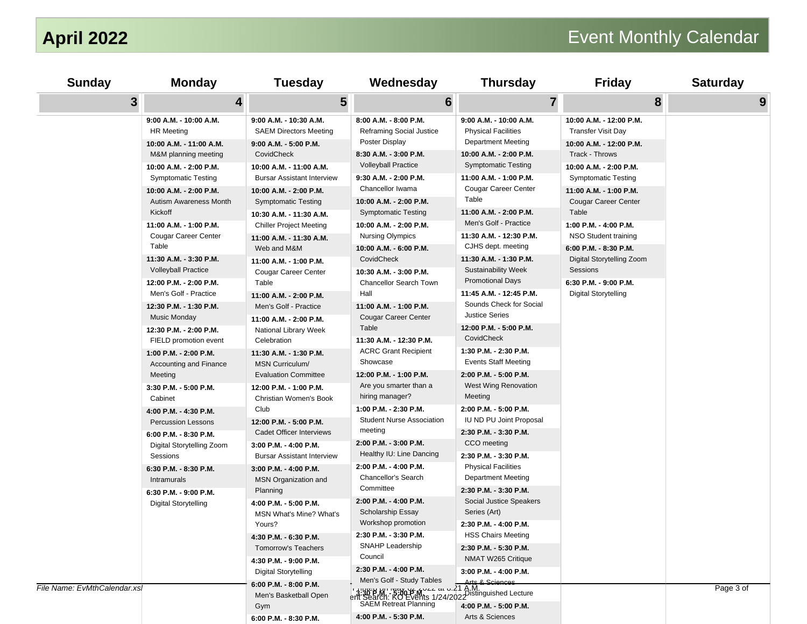| <b>Sunday</b>                | <b>Monday</b>                                                                 | <b>Tuesday</b>                                                 | Wednesday                                                                                                                                                     | <b>Thursday</b>                                                                  | <b>Friday</b>                                                    | <b>Saturday</b> |
|------------------------------|-------------------------------------------------------------------------------|----------------------------------------------------------------|---------------------------------------------------------------------------------------------------------------------------------------------------------------|----------------------------------------------------------------------------------|------------------------------------------------------------------|-----------------|
| $\mathbf{3}$                 | 4                                                                             | 5                                                              | $6\phantom{1}$                                                                                                                                                | $\overline{7}$                                                                   |                                                                  | 8<br>9          |
|                              | 9:00 A.M. - 10:00 A.M.<br><b>HR Meeting</b>                                   | 9:00 A.M. - 10:30 A.M.<br><b>SAEM Directors Meeting</b>        | 8:00 A.M. - 8:00 P.M.<br><b>Reframing Social Justice</b>                                                                                                      | 9:00 A.M. - 10:00 A.M.<br><b>Physical Facilities</b>                             | 10:00 A.M. - 12:00 P.M.<br><b>Transfer Visit Day</b>             |                 |
|                              | 10:00 A.M. - 11:00 A.M.<br>M&M planning meeting                               | 9:00 A.M. - 5:00 P.M.<br>CovidCheck                            | Poster Display<br>8:30 A.M. - 3:00 P.M.                                                                                                                       | Department Meeting<br>10:00 A.M. - 2:00 P.M.                                     | 10:00 A.M. - 12:00 P.M.<br>Track - Throws                        |                 |
|                              | 10:00 A.M. - 2:00 P.M.                                                        | 10:00 A.M. - 11:00 A.M.                                        | <b>Volleyball Practice</b><br>9:30 A.M. - 2:00 P.M.                                                                                                           | <b>Symptomatic Testing</b>                                                       | 10:00 A.M. - 2:00 P.M.                                           |                 |
|                              | <b>Symptomatic Testing</b><br>10:00 A.M. - 2:00 P.M.                          | <b>Bursar Assistant Interview</b><br>10:00 A.M. - 2:00 P.M.    | Chancellor Iwama                                                                                                                                              | 11:00 A.M. - 1:00 P.M.<br><b>Cougar Career Center</b>                            | <b>Symptomatic Testing</b><br>11:00 A.M. - 1:00 P.M.             |                 |
|                              | Autism Awareness Month<br>Kickoff                                             | <b>Symptomatic Testing</b><br>10:30 A.M. - 11:30 A.M.          | 10:00 A.M. - 2:00 P.M.<br><b>Symptomatic Testing</b>                                                                                                          | Table<br>11:00 A.M. - 2:00 P.M.                                                  | <b>Cougar Career Center</b><br>Table                             |                 |
|                              | 11:00 A.M. - 1:00 P.M.<br>Cougar Career Center                                | <b>Chiller Project Meeting</b><br>11:00 A.M. - 11:30 A.M.      | 10:00 A.M. - 2:00 P.M.<br><b>Nursing Olympics</b>                                                                                                             | Men's Golf - Practice<br>11:30 A.M. - 12:30 P.M.                                 | 1:00 P.M. - 4:00 P.M.<br>NSO Student training                    |                 |
|                              | Table<br>11:30 A.M. - 3:30 P.M.                                               | Web and M&M<br>11:00 A.M. - 1:00 P.M.                          | 10:00 A.M. - 6:00 P.M.<br>CovidCheck                                                                                                                          | CJHS dept. meeting<br>11:30 A.M. - 1:30 P.M.                                     | 6:00 P.M. - 8:30 P.M.<br>Digital Storytelling Zoom               |                 |
|                              | <b>Volleyball Practice</b><br>12:00 P.M. - 2:00 P.M.<br>Men's Golf - Practice | Cougar Career Center<br>Table                                  | 10:30 A.M. - 3:00 P.M.<br>Chancellor Search Town<br>Hall                                                                                                      | <b>Sustainability Week</b><br><b>Promotional Days</b><br>11:45 A.M. - 12:45 P.M. | Sessions<br>6:30 P.M. - 9:00 P.M.<br><b>Digital Storytelling</b> |                 |
|                              | 12:30 P.M. - 1:30 P.M.<br>Music Monday                                        | 11:00 A.M. - 2:00 P.M.<br>Men's Golf - Practice                | 11:00 A.M. - 1:00 P.M.<br><b>Cougar Career Center</b>                                                                                                         | Sounds Check for Social<br><b>Justice Series</b>                                 |                                                                  |                 |
|                              | 12:30 P.M. - 2:00 P.M.<br>FIELD promotion event                               | 11:00 A.M. - 2:00 P.M.<br>National Library Week<br>Celebration | Table<br>11:30 A.M. - 12:30 P.M.                                                                                                                              | 12:00 P.M. - 5:00 P.M.<br>CovidCheck                                             |                                                                  |                 |
|                              | 1:00 P.M. - 2:00 P.M.<br>Accounting and Finance                               | 11:30 A.M. - 1:30 P.M.<br><b>MSN Curriculum/</b>               | <b>ACRC Grant Recipient</b><br>Showcase                                                                                                                       | 1:30 P.M. - 2:30 P.M.<br><b>Events Staff Meeting</b>                             |                                                                  |                 |
|                              | Meeting<br>3:30 P.M. - 5:00 P.M.                                              | <b>Evaluation Committee</b><br>12:00 P.M. - 1:00 P.M.          | 12:00 P.M. - 1:00 P.M.<br>Are you smarter than a                                                                                                              | 2:00 P.M. - 5:00 P.M.<br>West Wing Renovation                                    |                                                                  |                 |
|                              | Cabinet<br>4:00 P.M. - 4:30 P.M.                                              | Christian Women's Book<br>Club                                 | hiring manager?<br>1:00 P.M. - 2:30 P.M.                                                                                                                      | Meeting<br>2:00 P.M. - 5:00 P.M.                                                 |                                                                  |                 |
|                              | <b>Percussion Lessons</b>                                                     | 12:00 P.M. - 5:00 P.M.<br>Cadet Officer Interviews             | <b>Student Nurse Association</b><br>meeting                                                                                                                   | IU ND PU Joint Proposal<br>2:30 P.M. - 3:30 P.M.                                 |                                                                  |                 |
|                              | 6:00 P.M. - 8:30 P.M.<br>Digital Storytelling Zoom<br>Sessions                | 3:00 P.M. - 4:00 P.M.<br><b>Bursar Assistant Interview</b>     | 2:00 P.M. - 3:00 P.M.<br>Healthy IU: Line Dancing                                                                                                             | CCO meeting<br>2:30 P.M. - 3:30 P.M.                                             |                                                                  |                 |
|                              | 6:30 P.M. - 8:30 P.M.<br>Intramurals                                          | 3:00 P.M. - 4:00 P.M.<br><b>MSN Organization and</b>           | 2:00 P.M. - 4:00 P.M.<br>Chancellor's Search                                                                                                                  | <b>Physical Facilities</b><br>Department Meeting                                 |                                                                  |                 |
|                              | 6:30 P.M. - 9:00 P.M.<br>Digital Storytelling                                 | Planning<br>4:00 P.M. - 5:00 P.M.                              | Committee<br>2:00 P.M. - 4:00 P.M.                                                                                                                            | 2:30 P.M. - 3:30 P.M.<br>Social Justice Speakers                                 |                                                                  |                 |
|                              |                                                                               | MSN What's Mine? What's<br>Yours?                              | Scholarship Essay<br>Workshop promotion                                                                                                                       | Series (Art)<br>2:30 P.M. - 4:00 P.M.                                            |                                                                  |                 |
|                              |                                                                               | 4:30 P.M. - 6:30 P.M.<br>Tomorrow's Teachers                   | 2:30 P.M. - 3:30 P.M.<br>SNAHP Leadership                                                                                                                     | <b>HSS Chairs Meeting</b><br>2:30 P.M. - 5:30 P.M.                               |                                                                  |                 |
|                              |                                                                               | 4:30 P.M. - 9:00 P.M.<br><b>Digital Storytelling</b>           | Council<br>2:30 P.M. - 4:00 P.M.                                                                                                                              | NMAT W265 Critique<br>3:00 P.M. - 4:00 P.M.                                      |                                                                  |                 |
| File Name: EvMthCalendar.xsl |                                                                               | 6:00 P.M. - 8:00 P.M.<br>Men's Basketball Open                 | 7.00 P.M.<br>F1:41 PH M1: WSW W MV C MV C at 0.21 A.M. Sciences<br>The Search: RO Events 1/24/2022 Pistinguished Lecture<br>SAEM Retreat Planning<br>1.00 P.1 |                                                                                  |                                                                  | Page 3 of       |
|                              |                                                                               | Gym<br>6:00 P.M. - 8:30 P.M.                                   | 4:00 P.M. - 5:30 P.M.                                                                                                                                         | Arts & Sciences                                                                  |                                                                  |                 |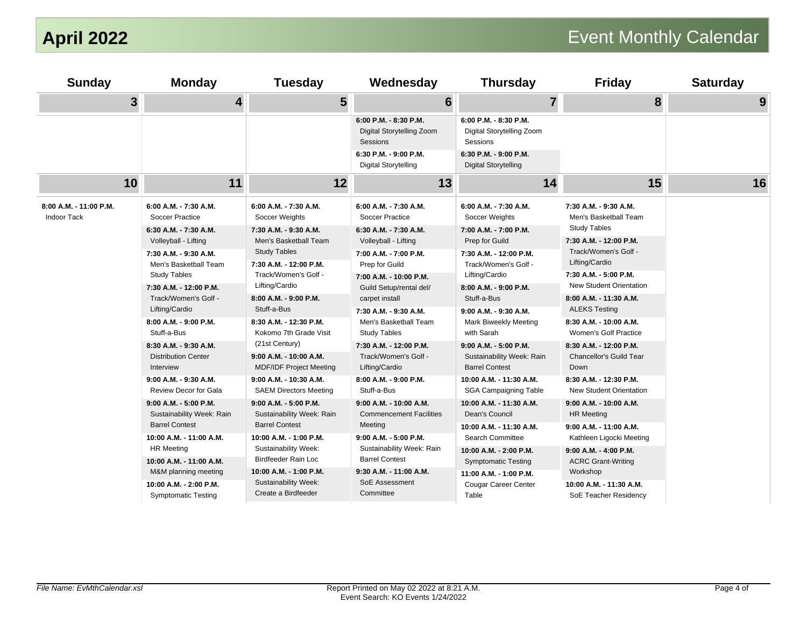| <b>Sunday</b>                                | <b>Monday</b>                                                         | <b>Tuesday</b>                                                                                                   | Wednesday                                                                                                      | <b>Thursday</b>                                                | <b>Friday</b>                                                              | <b>Saturday</b> |
|----------------------------------------------|-----------------------------------------------------------------------|------------------------------------------------------------------------------------------------------------------|----------------------------------------------------------------------------------------------------------------|----------------------------------------------------------------|----------------------------------------------------------------------------|-----------------|
| $\overline{\mathbf{3}}$                      | $\overline{\mathbf{4}}$                                               | $5\phantom{1}$                                                                                                   | 6                                                                                                              | $\overline{7}$                                                 | 8                                                                          | 9               |
|                                              |                                                                       |                                                                                                                  | 6:00 P.M. - 8:30 P.M.<br>Digital Storytelling Zoom<br>Sessions                                                 | 6:00 P.M. - 8:30 P.M.<br>Digital Storytelling Zoom<br>Sessions |                                                                            |                 |
|                                              |                                                                       |                                                                                                                  | 6:30 P.M. - 9:00 P.M.<br><b>Digital Storytelling</b>                                                           | 6:30 P.M. - 9:00 P.M.<br><b>Digital Storytelling</b>           |                                                                            |                 |
| 10                                           | 11                                                                    | 12                                                                                                               | 13                                                                                                             | 14                                                             | 15                                                                         | 16              |
| 8:00 A.M. - 11:00 P.M.<br><b>Indoor Tack</b> | 6:00 A.M. - 7:30 A.M.<br><b>Soccer Practice</b>                       | 6:00 A.M. - 7:30 A.M.<br>Soccer Weights                                                                          | 6:00 A.M. - 7:30 A.M.<br>Soccer Practice                                                                       | 6:00 A.M. - 7:30 A.M.<br>Soccer Weights                        | 7:30 A.M. - 9:30 A.M.<br>Men's Basketball Team                             |                 |
|                                              | 6:30 A.M. - 7:30 A.M.<br>Volleyball - Lifting                         | 7:30 A.M. - 9:30 A.M.<br>Men's Basketball Team                                                                   | 6:30 A.M. - 7:30 A.M.<br>Volleyball - Lifting                                                                  | 7:00 A.M. - 7:00 P.M.<br>Prep for Guild                        | <b>Study Tables</b><br>7:30 A.M. - 12:00 P.M.                              |                 |
|                                              | 7:30 A.M. - 9:30 A.M.<br>Men's Basketball Team                        | <b>Study Tables</b><br>7:30 A.M. - 12:00 P.M.<br>Track/Women's Golf -<br>Lifting/Cardio<br>8:00 A.M. - 9:00 P.M. | 7:00 A.M. - 7:00 P.M.<br>Prep for Guild<br>7:00 A.M. - 10:00 P.M.<br>Guild Setup/rental del/<br>carpet install | 7:30 A.M. - 12:00 P.M.<br>Track/Women's Golf -                 | Track/Women's Golf -<br>Lifting/Cardio                                     |                 |
|                                              | <b>Study Tables</b><br>7:30 A.M. - 12:00 P.M.<br>Track/Women's Golf - |                                                                                                                  |                                                                                                                | Lifting/Cardio<br>8:00 A.M. - 9:00 P.M.<br>Stuff-a-Bus         | 7:30 A.M. - 5:00 P.M.<br>New Student Orientation<br>8:00 A.M. - 11:30 A.M. |                 |
|                                              | Lifting/Cardio                                                        | Stuff-a-Bus                                                                                                      | 7:30 A.M. - 9:30 A.M.                                                                                          | 9:00 A.M. - 9:30 A.M.                                          | <b>ALEKS Testing</b>                                                       |                 |
|                                              | 8:00 A.M. - 9:00 P.M.<br>Stuff-a-Bus                                  | 8:30 A.M. - 12:30 P.M.<br>Kokomo 7th Grade Visit                                                                 | Men's Basketball Team<br><b>Study Tables</b>                                                                   | Mark Biweekly Meeting<br>with Sarah                            | 8:30 A.M. - 10:00 A.M.<br>Women's Golf Practice                            |                 |
|                                              | 8:30 A.M. - 9:30 A.M.<br><b>Distribution Center</b>                   | (21st Century)<br>9:00 A.M. - 10:00 A.M.                                                                         | 7:30 A.M. - 12:00 P.M.<br>Track/Women's Golf -                                                                 | 9:00 A.M. - 5:00 P.M.<br>Sustainability Week: Rain             | 8:30 A.M. - 12:00 P.M.<br>Chancellor's Guild Tear                          |                 |
|                                              | Interview                                                             | <b>MDF/IDF Project Meeting</b>                                                                                   | Lifting/Cardio                                                                                                 | <b>Barrel Contest</b>                                          | Down                                                                       |                 |
|                                              | 9:00 A.M. - 9:30 A.M.<br>Review Decor for Gala                        | 9:00 A.M. - 10:30 A.M.<br><b>SAEM Directors Meeting</b>                                                          | 8:00 A.M. - 9:00 P.M.<br>Stuff-a-Bus                                                                           | 10:00 A.M. - 11:30 A.M.<br>SGA Campaigning Table               | 8:30 A.M. - 12:30 P.M.<br>New Student Orientation                          |                 |
|                                              | 9:00 A.M. - 5:00 P.M.<br>Sustainability Week: Rain                    | 9:00 A.M. - 5:00 P.M.<br>Sustainability Week: Rain                                                               | 9:00 A.M. - 10:00 A.M.<br><b>Commencement Facilities</b>                                                       | 10:00 A.M. - 11:30 A.M.<br>Dean's Council                      | 9:00 A.M. - 10:00 A.M.<br><b>HR Meeting</b>                                |                 |
|                                              | <b>Barrel Contest</b>                                                 | <b>Barrel Contest</b>                                                                                            | Meeting                                                                                                        | 10:00 A.M. - 11:30 A.M.                                        | 9:00 A.M. - 11:00 A.M.                                                     |                 |
|                                              | 10:00 A.M. - 11:00 A.M.<br><b>HR Meeting</b>                          | 10:00 A.M. - 1:00 P.M.<br>Sustainability Week:                                                                   | 9:00 A.M. - 5:00 P.M.<br>Sustainability Week: Rain                                                             | Search Committee                                               | Kathleen Ligocki Meeting                                                   |                 |
|                                              | 10:00 A.M. - 11:00 A.M.                                               | Birdfeeder Rain Loc                                                                                              | <b>Barrel Contest</b>                                                                                          | 10:00 A.M. - 2:00 P.M.<br><b>Symptomatic Testing</b>           | 9:00 A.M. - 4:00 P.M.<br><b>ACRC Grant-Writing</b>                         |                 |
|                                              | M&M planning meeting                                                  | 10:00 A.M. - 1:00 P.M.                                                                                           | 9:30 A.M. - 11:00 A.M.                                                                                         | 11:00 A.M. - 1:00 P.M.                                         | Workshop                                                                   |                 |
|                                              | 10:00 A.M. - 2:00 P.M.<br><b>Symptomatic Testing</b>                  | Sustainability Week:<br>Create a Birdfeeder                                                                      | SoE Assessment<br>Committee                                                                                    | Cougar Career Center<br>Table                                  | 10:00 A.M. - 11:30 A.M.<br>SoE Teacher Residency                           |                 |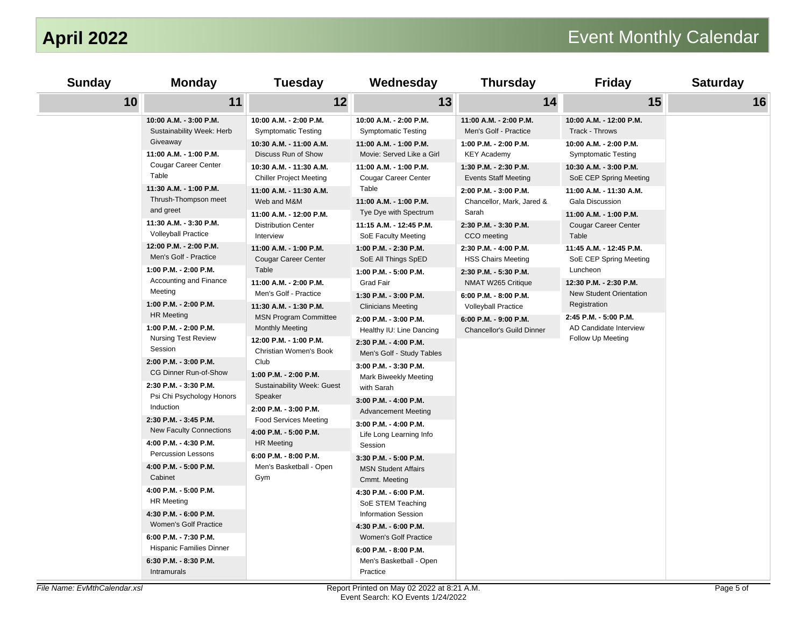| <b>Sunday</b>                | <b>Monday</b>                                                                          | <b>Tuesday</b>                                                                   | Wednesday                                                                          | <b>Thursday</b>                                                            | <b>Friday</b>                                                                  | <b>Saturday</b> |
|------------------------------|----------------------------------------------------------------------------------------|----------------------------------------------------------------------------------|------------------------------------------------------------------------------------|----------------------------------------------------------------------------|--------------------------------------------------------------------------------|-----------------|
| 10                           | 11                                                                                     | 12                                                                               | 13                                                                                 | 14                                                                         | 15                                                                             | 16              |
|                              | 10:00 A.M. - 3:00 P.M.<br>Sustainability Week: Herb<br>Giveaway                        | 10:00 A.M. - 2:00 P.M.<br><b>Symptomatic Testing</b><br>10:30 A.M. - 11:00 A.M.  | 10:00 A.M. - 2:00 P.M.<br><b>Symptomatic Testing</b><br>11:00 A.M. - 1:00 P.M.     | 11:00 A.M. - 2:00 P.M.<br>Men's Golf - Practice<br>1:00 P.M. - 2:00 P.M.   | 10:00 A.M. - 12:00 P.M.<br>Track - Throws<br>10:00 A.M. - 2:00 P.M.            |                 |
|                              | 11:00 A.M. - 1:00 P.M.<br><b>Cougar Career Center</b><br>Table                         | Discuss Run of Show<br>10:30 A.M. - 11:30 A.M.<br><b>Chiller Project Meeting</b> | Movie: Served Like a Girl<br>11:00 A.M. - 1:00 P.M.<br><b>Cougar Career Center</b> | <b>KEY Academy</b><br>1:30 P.M. - 2:30 P.M.<br><b>Events Staff Meeting</b> | <b>Symptomatic Testing</b><br>10:30 A.M. - 3:00 P.M.<br>SoE CEP Spring Meeting |                 |
|                              | 11:30 A.M. - 1:00 P.M.<br>Thrush-Thompson meet<br>and greet                            | 11:00 A.M. - 11:30 A.M.<br>Web and M&M<br>11:00 A.M. - 12:00 P.M.                | Table<br>11:00 A.M. - 1:00 P.M.<br>Tye Dye with Spectrum                           | 2:00 P.M. - 3:00 P.M.<br>Chancellor, Mark, Jared &<br>Sarah                | 11:00 A.M. - 11:30 A.M.<br>Gala Discussion<br>11:00 A.M. - 1:00 P.M.           |                 |
|                              | 11:30 A.M. - 3:30 P.M.<br><b>Volleyball Practice</b>                                   | <b>Distribution Center</b><br>Interview                                          | 11:15 A.M. - 12:45 P.M.<br>SoE Faculty Meeting                                     | 2:30 P.M. - 3:30 P.M.<br>CCO meeting                                       | <b>Cougar Career Center</b><br>Table                                           |                 |
|                              | 12:00 P.M. - 2:00 P.M.<br>Men's Golf - Practice                                        | 11:00 A.M. - 1:00 P.M.<br><b>Cougar Career Center</b>                            | 1:00 P.M. - 2:30 P.M.<br>SoE All Things SpED                                       | 2:30 P.M. - 4:00 P.M.<br><b>HSS Chairs Meeting</b>                         | 11:45 A.M. - 12:45 P.M.<br>SoE CEP Spring Meeting                              |                 |
|                              | $1:00$ P.M. - $2:00$ P.M.<br>Accounting and Finance<br>Meeting                         | Table<br>11:00 A.M. - 2:00 P.M.<br>Men's Golf - Practice                         | 1:00 P.M. - 5:00 P.M.<br><b>Grad Fair</b><br>1:30 P.M. - 3:00 P.M.                 | 2:30 P.M. - 5:30 P.M.<br>NMAT W265 Critique<br>6:00 P.M. - 8:00 P.M.       | Luncheon<br>12:30 P.M. - 2:30 P.M.<br>New Student Orientation                  |                 |
|                              | 1:00 P.M. - 2:00 P.M.<br><b>HR Meeting</b>                                             | 11:30 A.M. - 1:30 P.M.<br><b>MSN Program Committee</b>                           | <b>Clinicians Meeting</b><br>2:00 P.M. - 3:00 P.M.                                 | <b>Volleyball Practice</b><br>6:00 P.M. - 9:00 P.M.                        | Registration<br>2:45 P.M. - 5:00 P.M.                                          |                 |
|                              | 1:00 P.M. - 2:00 P.M.<br><b>Nursing Test Review</b><br>Session                         | <b>Monthly Meeting</b><br>12:00 P.M. - 1:00 P.M.<br>Christian Women's Book       | Healthy IU: Line Dancing<br>2:30 P.M. - 4:00 P.M.<br>Men's Golf - Study Tables     | <b>Chancellor's Guild Dinner</b>                                           | AD Candidate Interview<br>Follow Up Meeting                                    |                 |
|                              | 2:00 P.M. - 3:00 P.M.<br>CG Dinner Run-of-Show<br>2:30 P.M. - 3:30 P.M.                | Club<br>1:00 P.M. - 2:00 P.M.<br><b>Sustainability Week: Guest</b>               | 3:00 P.M. - 3:30 P.M.<br>Mark Biweekly Meeting<br>with Sarah                       |                                                                            |                                                                                |                 |
|                              | Psi Chi Psychology Honors<br>Induction                                                 | Speaker<br>2:00 P.M. - 3:00 P.M.                                                 | 3:00 P.M. - 4:00 P.M.<br><b>Advancement Meeting</b>                                |                                                                            |                                                                                |                 |
|                              | 2:30 P.M. - 3:45 P.M.<br><b>New Faculty Connections</b>                                | <b>Food Services Meeting</b><br>4:00 P.M. - 5:00 P.M.                            | 3:00 P.M. - 4:00 P.M.<br>Life Long Learning Info                                   |                                                                            |                                                                                |                 |
|                              | 4:00 P.M. - 4:30 P.M.<br><b>Percussion Lessons</b><br>4:00 P.M. - 5:00 P.M.<br>Cabinet | <b>HR Meeting</b><br>6:00 P.M. - 8:00 P.M.<br>Men's Basketball - Open<br>Gym     | Session<br>3:30 P.M. - 5:00 P.M.<br><b>MSN Student Affairs</b><br>Cmmt. Meeting    |                                                                            |                                                                                |                 |
|                              | 4:00 P.M. - 5:00 P.M.<br><b>HR Meeting</b>                                             |                                                                                  | 4:30 P.M. - 6:00 P.M.<br>SoE STEM Teaching                                         |                                                                            |                                                                                |                 |
|                              | 4:30 P.M. - 6:00 P.M.<br>Women's Golf Practice                                         |                                                                                  | <b>Information Session</b><br>4:30 P.M. - 6:00 P.M.                                |                                                                            |                                                                                |                 |
|                              | 6:00 P.M. - 7:30 P.M.<br><b>Hispanic Families Dinner</b><br>6:30 P.M. - 8:30 P.M.      |                                                                                  | Women's Golf Practice<br>6:00 P.M. - 8:00 P.M.<br>Men's Basketball - Open          |                                                                            |                                                                                |                 |
| File Name: EvMthCalendar.xsl | Intramurals                                                                            |                                                                                  | Practice<br>Report Printed on May 02 2022 at 8:21 A.M.                             |                                                                            |                                                                                | Page 5 of       |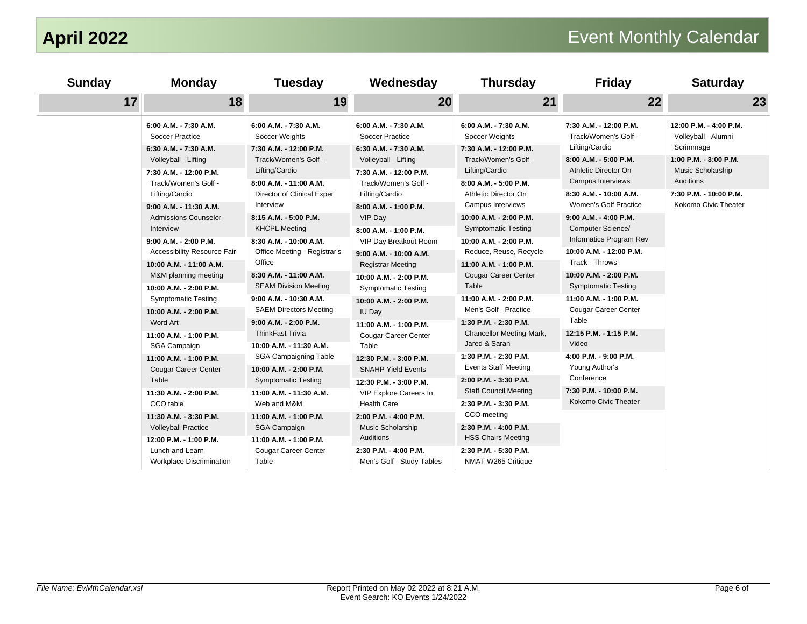| <b>Sunday</b> | <b>Monday</b>                                                                                   | <b>Tuesday</b>                                                                             | Wednesday                                                                                       | <b>Thursday</b>                                                                           | <b>Friday</b>                                                                                                              | <b>Saturday</b>                                                          |
|---------------|-------------------------------------------------------------------------------------------------|--------------------------------------------------------------------------------------------|-------------------------------------------------------------------------------------------------|-------------------------------------------------------------------------------------------|----------------------------------------------------------------------------------------------------------------------------|--------------------------------------------------------------------------|
| 17            | 18                                                                                              | 19                                                                                         | 20                                                                                              | 21                                                                                        | 22                                                                                                                         | 23                                                                       |
|               | 6:00 A.M. - 7:30 A.M.<br>Soccer Practice                                                        | 6:00 A.M. - 7:30 A.M.<br>Soccer Weights                                                    | 6:00 A.M. - 7:30 A.M.<br><b>Soccer Practice</b>                                                 | 6:00 A.M. - 7:30 A.M.<br>Soccer Weights                                                   | 7:30 A.M. - 12:00 P.M.<br>Track/Women's Golf -                                                                             | 12:00 P.M. - 4:00 P.M.<br>Volleyball - Alumni                            |
|               | 6:30 A.M. - 7:30 A.M.<br>Volleyball - Lifting<br>7:30 A.M. - 12:00 P.M.<br>Track/Women's Golf - | 7:30 A.M. - 12:00 P.M.<br>Track/Women's Golf -<br>Lifting/Cardio<br>8:00 A.M. - 11:00 A.M. | 6:30 A.M. - 7:30 A.M.<br>Volleyball - Lifting<br>7:30 A.M. - 12:00 P.M.<br>Track/Women's Golf - | 7:30 A.M. - 12:00 P.M.<br>Track/Women's Golf -<br>Lifting/Cardio<br>8:00 A.M. - 5:00 P.M. | Lifting/Cardio<br>8:00 A.M. - 5:00 P.M.<br>Athletic Director On<br>Campus Interviews                                       | Scrimmage<br>$1:00$ P.M. - $3:00$ P.M.<br>Music Scholarship<br>Auditions |
|               | Lifting/Cardio<br>9:00 A.M. - 11:30 A.M.<br><b>Admissions Counselor</b>                         | Director of Clinical Exper<br>Interview<br>8:15 A.M. - 5:00 P.M.                           | Lifting/Cardio<br>8:00 A.M. - 1:00 P.M.<br>VIP Day                                              | Athletic Director On<br>Campus Interviews<br>10:00 A.M. - 2:00 P.M.                       | 8:30 A.M. - 10:00 A.M.<br><b>Women's Golf Practice</b><br>$9:00$ A.M. - 4:00 P.M.                                          | 7:30 P.M. - 10:00 P.M.<br>Kokomo Civic Theater                           |
|               | Interview<br>$9:00$ A.M. - 2:00 P.M.                                                            | <b>KHCPL Meeting</b><br>8:30 A.M. - 10:00 A.M.                                             | 8:00 A.M. - 1:00 P.M.<br>VIP Day Breakout Room                                                  | <b>Symptomatic Testing</b><br>10:00 A.M. - 2:00 P.M.                                      | <b>Computer Science/</b><br>Informatics Program Rev<br>10:00 A.M. - 12:00 P.M.<br>Track - Throws<br>10:00 A.M. - 2:00 P.M. |                                                                          |
|               | Accessibility Resource Fair<br>10:00 A.M. - 11:00 A.M.<br>M&M planning meeting                  | Office Meeting - Registrar's<br>Office<br>8:30 A.M. - 11:00 A.M.                           | 9:00 A.M. - 10:00 A.M.<br><b>Registrar Meeting</b><br>10:00 A.M. - 2:00 P.M.                    | Reduce, Reuse, Recycle<br>11:00 A.M. - 1:00 P.M.<br><b>Cougar Career Center</b>           |                                                                                                                            |                                                                          |
|               | 10:00 A.M. - 2:00 P.M.<br><b>Symptomatic Testing</b><br>10:00 A.M. - 2:00 P.M.                  | <b>SEAM Division Meeting</b><br>9:00 A.M. - 10:30 A.M.<br><b>SAEM Directors Meeting</b>    | <b>Symptomatic Testing</b><br>10:00 A.M. - 2:00 P.M.<br>IU Day                                  | Table<br>11:00 A.M. - 2:00 P.M.<br>Men's Golf - Practice                                  | <b>Symptomatic Testing</b><br>11:00 A.M. - 1:00 P.M.<br>Cougar Career Center                                               |                                                                          |
|               | Word Art<br>11:00 A.M. - 1:00 P.M.<br><b>SGA Campaign</b>                                       | 9:00 A.M. - 2:00 P.M.<br><b>ThinkFast Trivia</b><br>10:00 A.M. - 11:30 A.M.                | 11:00 A.M. - 1:00 P.M.<br><b>Cougar Career Center</b><br>Table                                  | 1:30 P.M. - 2:30 P.M.<br>Chancellor Meeting-Mark,<br>Jared & Sarah                        | Table<br>12:15 P.M. - 1:15 P.M.<br>Video                                                                                   |                                                                          |
|               | 11:00 A.M. - 1:00 P.M.<br><b>Cougar Career Center</b><br>Table                                  | <b>SGA Campaigning Table</b><br>10:00 A.M. - 2:00 P.M.<br><b>Symptomatic Testing</b>       | 12:30 P.M. - 3:00 P.M.<br><b>SNAHP Yield Events</b><br>12:30 P.M. - 3:00 P.M.                   | 1:30 P.M. - 2:30 P.M.<br><b>Events Staff Meeting</b><br>2:00 P.M. - 3:30 P.M.             | 4:00 P.M. - 9:00 P.M.<br>Young Author's<br>Conference                                                                      |                                                                          |
|               | 11:30 A.M. - 2:00 P.M.<br>CCO table                                                             | 11:00 A.M. - 11:30 A.M.<br>Web and M&M                                                     | VIP Explore Careers In<br><b>Health Care</b>                                                    | <b>Staff Council Meeting</b><br>2:30 P.M. - 3:30 P.M.                                     | 7:30 P.M. - 10:00 P.M.<br>Kokomo Civic Theater                                                                             |                                                                          |
|               | 11:30 A.M. - 3:30 P.M.<br><b>Volleyball Practice</b><br>12:00 P.M. - 1:00 P.M.                  | 11:00 A.M. - 1:00 P.M.<br><b>SGA Campaign</b><br>11:00 A.M. - 1:00 P.M.                    | 2:00 P.M. - 4:00 P.M.<br>Music Scholarship<br>Auditions                                         | CCO meeting<br>2:30 P.M. - 4:00 P.M.<br><b>HSS Chairs Meeting</b>                         |                                                                                                                            |                                                                          |
|               | Lunch and Learn<br><b>Workplace Discrimination</b>                                              | <b>Cougar Career Center</b><br>Table                                                       | 2:30 P.M. - 4:00 P.M.<br>Men's Golf - Study Tables                                              | 2:30 P.M. - 5:30 P.M.<br>NMAT W265 Critique                                               |                                                                                                                            |                                                                          |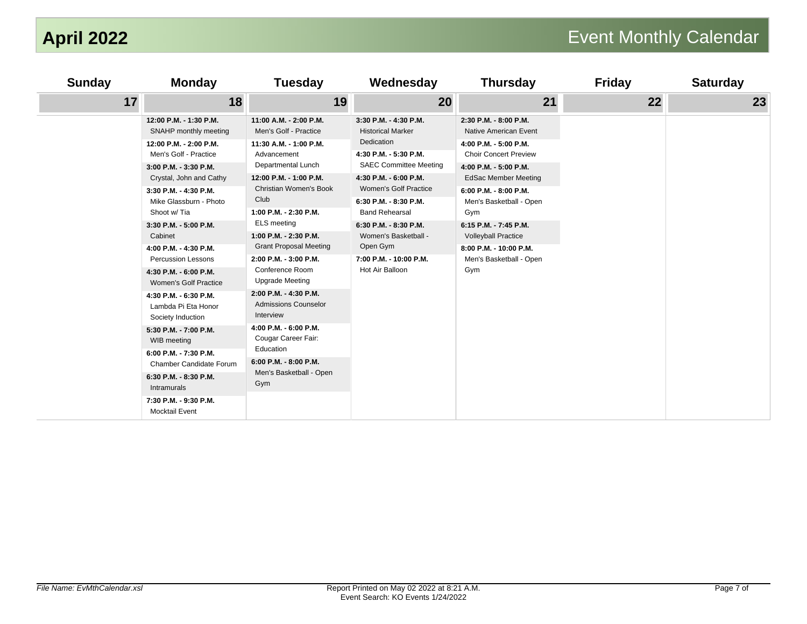| <b>Sunday</b> | <b>Monday</b>                                                                                                                                                                                                                                                                                                                                                                                                                                                                                                                                                                  | <b>Tuesday</b>                                                                                                                                                                                                                                                                                                                                                                                                                                                                                                                                             | Wednesday                                                                                                                                                                                                                                                                                                                               | <b>Thursday</b>                                                                                                                                                                                                                                                                                                                               | <b>Friday</b> | <b>Saturday</b> |
|---------------|--------------------------------------------------------------------------------------------------------------------------------------------------------------------------------------------------------------------------------------------------------------------------------------------------------------------------------------------------------------------------------------------------------------------------------------------------------------------------------------------------------------------------------------------------------------------------------|------------------------------------------------------------------------------------------------------------------------------------------------------------------------------------------------------------------------------------------------------------------------------------------------------------------------------------------------------------------------------------------------------------------------------------------------------------------------------------------------------------------------------------------------------------|-----------------------------------------------------------------------------------------------------------------------------------------------------------------------------------------------------------------------------------------------------------------------------------------------------------------------------------------|-----------------------------------------------------------------------------------------------------------------------------------------------------------------------------------------------------------------------------------------------------------------------------------------------------------------------------------------------|---------------|-----------------|
| 17            | 18                                                                                                                                                                                                                                                                                                                                                                                                                                                                                                                                                                             | 19                                                                                                                                                                                                                                                                                                                                                                                                                                                                                                                                                         | 20                                                                                                                                                                                                                                                                                                                                      | 21                                                                                                                                                                                                                                                                                                                                            | 22            | 23              |
|               | 12:00 P.M. - 1:30 P.M.<br>SNAHP monthly meeting<br>12:00 P.M. - 2:00 P.M.<br>Men's Golf - Practice<br>3:00 P.M. - 3:30 P.M.<br>Crystal, John and Cathy<br>3:30 P.M. - 4:30 P.M.<br>Mike Glassburn - Photo<br>Shoot w/ Tia<br>3:30 P.M. - 5:00 P.M.<br>Cabinet<br>4:00 P.M. - 4:30 P.M.<br><b>Percussion Lessons</b><br>4:30 P.M. - 6:00 P.M.<br>Women's Golf Practice<br>4:30 P.M. - 6:30 P.M.<br>Lambda Pi Eta Honor<br>Society Induction<br>5:30 P.M. - 7:00 P.M.<br>WIB meeting<br>6:00 P.M. - 7:30 P.M.<br>Chamber Candidate Forum<br>6:30 P.M. - 8:30 P.M.<br>Intramurals | 11:00 A.M. - 2:00 P.M.<br>Men's Golf - Practice<br>11:30 A.M. - 1:00 P.M.<br>Advancement<br>Departmental Lunch<br>12:00 P.M. - 1:00 P.M.<br>Christian Women's Book<br>Club<br>1:00 P.M. - 2:30 P.M.<br><b>ELS</b> meeting<br>1:00 P.M. - 2:30 P.M.<br><b>Grant Proposal Meeting</b><br>2:00 P.M. - 3:00 P.M.<br>Conference Room<br><b>Upgrade Meeting</b><br>2:00 P.M. - 4:30 P.M.<br><b>Admissions Counselor</b><br>Interview<br>4:00 P.M. - 6:00 P.M.<br>Cougar Career Fair:<br>Education<br>$6:00$ P.M. - $8:00$ P.M.<br>Men's Basketball - Open<br>Gym | 3:30 P.M. - 4:30 P.M.<br><b>Historical Marker</b><br>Dedication<br>4:30 P.M. - 5:30 P.M.<br><b>SAEC Committee Meeting</b><br>4:30 P.M. - 6:00 P.M.<br>Women's Golf Practice<br>6:30 P.M. - 8:30 P.M.<br><b>Band Rehearsal</b><br>6:30 P.M. - 8:30 P.M.<br>Women's Basketball -<br>Open Gym<br>7:00 P.M. - 10:00 P.M.<br>Hot Air Balloon | 2:30 P.M. - 8:00 P.M.<br>Native American Event<br>4:00 P.M. - 5:00 P.M.<br><b>Choir Concert Preview</b><br>4:00 P.M. - 5:00 P.M.<br><b>EdSac Member Meeting</b><br>6:00 P.M. - 8:00 P.M.<br>Men's Basketball - Open<br>Gym<br>6:15 P.M. - 7:45 P.M.<br><b>Volleyball Practice</b><br>8:00 P.M. - 10:00 P.M.<br>Men's Basketball - Open<br>Gym |               |                 |
|               | 7:30 P.M. - 9:30 P.M.<br><b>Mocktail Event</b>                                                                                                                                                                                                                                                                                                                                                                                                                                                                                                                                 |                                                                                                                                                                                                                                                                                                                                                                                                                                                                                                                                                            |                                                                                                                                                                                                                                                                                                                                         |                                                                                                                                                                                                                                                                                                                                               |               |                 |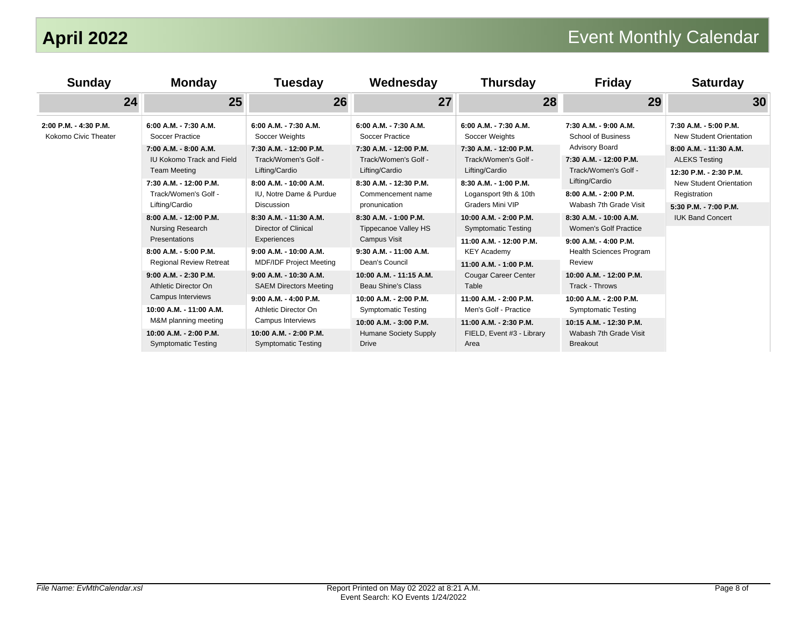| <b>Sunday</b>                                 | <b>Monday</b>                                                                                                                                                                                                                                                                                                                                                                                                                                                                                        | <b>Tuesday</b>                                                                                                                                                                                                                                                                                                                                                                                                                                                                                                         | Wednesday                                                                                                                                                                                                                                                                                                                                                                                                                                                                    | <b>Thursday</b>                                                                                                                                                                                                                                                                                                                                                                                                                                                                       | <b>Friday</b>                                                                                                                                                                                                                                                                                                                                                                                                                                                                                                    | <b>Saturday</b>                                                                                                                                                                                                             |
|-----------------------------------------------|------------------------------------------------------------------------------------------------------------------------------------------------------------------------------------------------------------------------------------------------------------------------------------------------------------------------------------------------------------------------------------------------------------------------------------------------------------------------------------------------------|------------------------------------------------------------------------------------------------------------------------------------------------------------------------------------------------------------------------------------------------------------------------------------------------------------------------------------------------------------------------------------------------------------------------------------------------------------------------------------------------------------------------|------------------------------------------------------------------------------------------------------------------------------------------------------------------------------------------------------------------------------------------------------------------------------------------------------------------------------------------------------------------------------------------------------------------------------------------------------------------------------|---------------------------------------------------------------------------------------------------------------------------------------------------------------------------------------------------------------------------------------------------------------------------------------------------------------------------------------------------------------------------------------------------------------------------------------------------------------------------------------|------------------------------------------------------------------------------------------------------------------------------------------------------------------------------------------------------------------------------------------------------------------------------------------------------------------------------------------------------------------------------------------------------------------------------------------------------------------------------------------------------------------|-----------------------------------------------------------------------------------------------------------------------------------------------------------------------------------------------------------------------------|
| 24                                            | 25                                                                                                                                                                                                                                                                                                                                                                                                                                                                                                   | 26                                                                                                                                                                                                                                                                                                                                                                                                                                                                                                                     | 27                                                                                                                                                                                                                                                                                                                                                                                                                                                                           | 28                                                                                                                                                                                                                                                                                                                                                                                                                                                                                    | 29                                                                                                                                                                                                                                                                                                                                                                                                                                                                                                               | 30                                                                                                                                                                                                                          |
| 2:00 P.M. - 4:30 P.M.<br>Kokomo Civic Theater | 6:00 A.M. - 7:30 A.M.<br>Soccer Practice<br>7:00 A.M. - 8:00 A.M.<br>IU Kokomo Track and Field<br><b>Team Meeting</b><br>7:30 A.M. - 12:00 P.M.<br>Track/Women's Golf -<br>Lifting/Cardio<br>8:00 A.M. - 12:00 P.M.<br>Nursing Research<br>Presentations<br>8:00 A.M. - 5:00 P.M.<br><b>Regional Review Retreat</b><br>9:00 A.M. - 2:30 P.M.<br>Athletic Director On<br>Campus Interviews<br>10:00 A.M. - 11:00 A.M.<br>M&M planning meeting<br>10:00 A.M. - 2:00 P.M.<br><b>Symptomatic Testing</b> | $6:00$ A.M. - 7:30 A.M.<br>Soccer Weights<br>7:30 A.M. - 12:00 P.M.<br>Track/Women's Golf -<br>Lifting/Cardio<br>8:00 A.M. - 10:00 A.M.<br>IU. Notre Dame & Purdue<br><b>Discussion</b><br>8:30 A.M. - 11:30 A.M.<br><b>Director of Clinical</b><br>Experiences<br>9:00 A.M. - 10:00 A.M.<br><b>MDF/IDF Project Meeting</b><br>9:00 A.M. - 10:30 A.M.<br><b>SAEM Directors Meeting</b><br>$9:00$ A.M. - 4:00 P.M.<br>Athletic Director On<br>Campus Interviews<br>10:00 A.M. - 2:00 P.M.<br><b>Symptomatic Testing</b> | 6:00 A.M. - 7:30 A.M.<br>Soccer Practice<br>7:30 A.M. - 12:00 P.M.<br>Track/Women's Golf -<br>Lifting/Cardio<br>8:30 A.M. - 12:30 P.M.<br>Commencement name<br>pronunication<br>8:30 A.M. - 1:00 P.M.<br>Tippecanoe Valley HS<br>Campus Visit<br>9:30 A.M. - 11:00 A.M.<br>Dean's Council<br>10:00 A.M. - 11:15 A.M.<br><b>Beau Shine's Class</b><br>10:00 A.M. - 2:00 P.M.<br><b>Symptomatic Testing</b><br>10:00 A.M. - 3:00 P.M.<br>Humane Society Supply<br><b>Drive</b> | 6:00 A.M. - 7:30 A.M.<br>Soccer Weights<br>7:30 A.M. - 12:00 P.M.<br>Track/Women's Golf -<br>Lifting/Cardio<br>8:30 A.M. - 1:00 P.M.<br>Logansport 9th & 10th<br><b>Graders Mini VIP</b><br>10:00 A.M. - 2:00 P.M.<br><b>Symptomatic Testing</b><br>11:00 A.M. - 12:00 P.M.<br><b>KEY Academy</b><br>11:00 A.M. - 1:00 P.M.<br><b>Cougar Career Center</b><br>Table<br>11:00 A.M. - 2:00 P.M.<br>Men's Golf - Practice<br>11:00 A.M. - 2:30 P.M.<br>FIELD, Event #3 - Library<br>Area | 7:30 A.M. - 9:00 A.M.<br><b>School of Business</b><br><b>Advisory Board</b><br>7:30 A.M. - 12:00 P.M.<br>Track/Women's Golf -<br>Lifting/Cardio<br>8:00 A.M. - 2:00 P.M.<br>Wabash 7th Grade Visit<br>8:30 A.M. - 10:00 A.M.<br><b>Women's Golf Practice</b><br>$9:00$ A.M. - 4:00 P.M.<br><b>Health Sciences Program</b><br>Review<br>10:00 A.M. - 12:00 P.M.<br>Track - Throws<br>10:00 A.M. - 2:00 P.M.<br><b>Symptomatic Testing</b><br>10:15 A.M. - 12:30 P.M.<br>Wabash 7th Grade Visit<br><b>Breakout</b> | 7:30 A.M. - 5:00 P.M.<br>New Student Orientation<br>8:00 A.M. - 11:30 A.M.<br><b>ALEKS Testing</b><br>12:30 P.M. - 2:30 P.M.<br>New Student Orientation<br>Registration<br>5:30 P.M. - 7:00 P.M.<br><b>IUK Band Concert</b> |